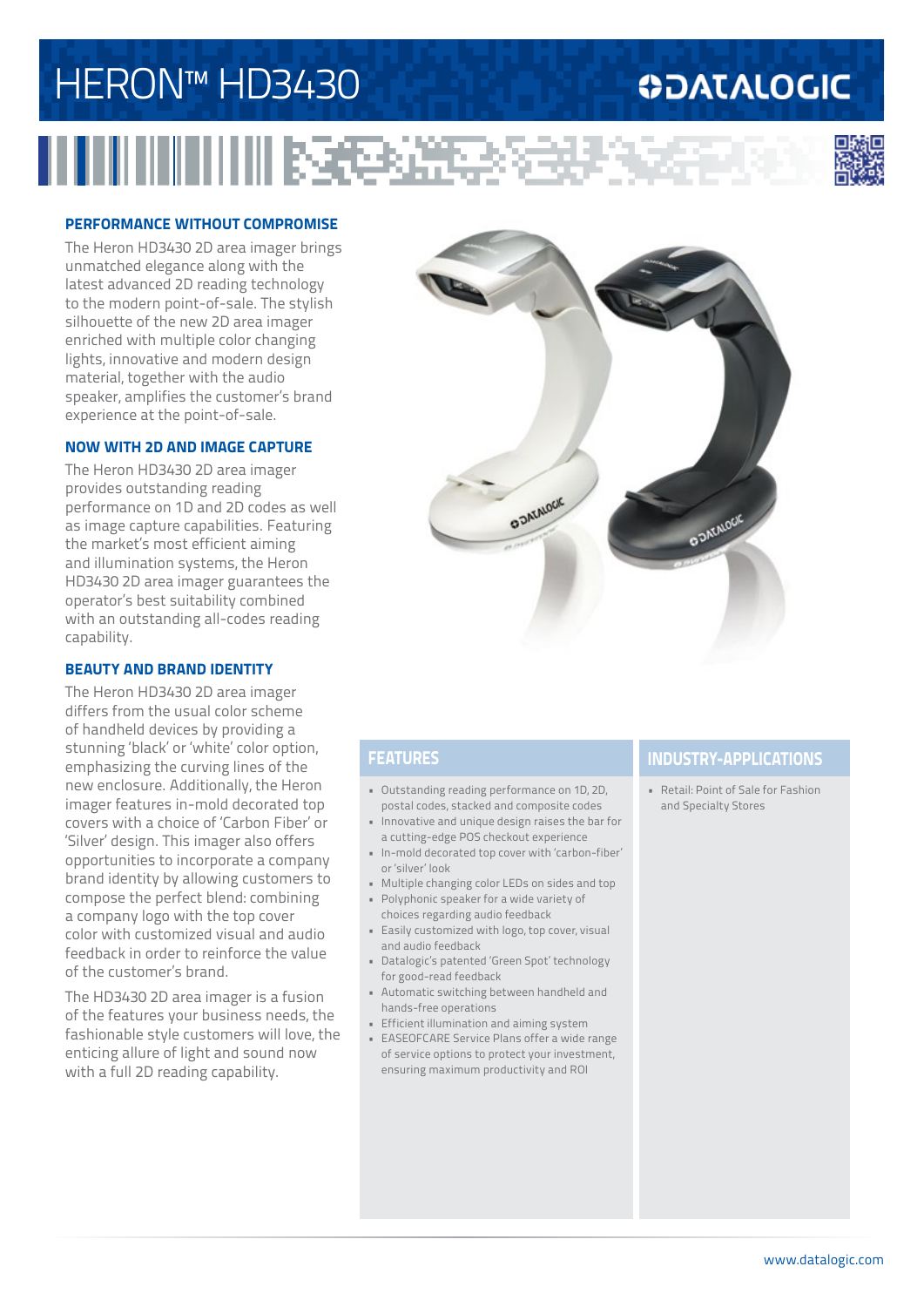# HERON™ HD3430

### **ODATALOGIC**



#### **PERFORMANCE WITHOUT COMPROMISE**

The Heron HD3430 2D area imager brings unmatched elegance along with the latest advanced 2D reading technology to the modern point-of-sale. The stylish silhouette of the new 2D area imager enriched with multiple color changing lights, innovative and modern design material, together with the audio speaker, amplifies the customer's brand experience at the point-of-sale.

#### **NOW WITH 2D AND IMAGE CAPTURE**

The Heron HD3430 2D area imager provides outstanding reading performance on 1D and 2D codes as well as image capture capabilities. Featuring the market's most efficient aiming and illumination systems, the Heron HD3430 2D area imager guarantees the operator's best suitability combined with an outstanding all-codes reading capability.

#### **BEAUTY AND BRAND IDENTITY**

The Heron HD3430 2D area imager differs from the usual color scheme of handheld devices by providing a stunning 'black' or 'white' color option, emphasizing the curving lines of the new enclosure. Additionally, the Heron imager features in-mold decorated top covers with a choice of 'Carbon Fiber' or 'Silver' design. This imager also offers opportunities to incorporate a company brand identity by allowing customers to compose the perfect blend: combining a company logo with the top cover color with customized visual and audio feedback in order to reinforce the value of the customer's brand.

The HD3430 2D area imager is a fusion of the features your business needs, the fashionable style customers will love, the enticing allure of light and sound now with a full 2D reading capability.



**REAL** 

- Outstanding reading performance on 1D, 2D, postal codes, stacked and composite codes
- Innovative and unique design raises the bar for a cutting-edge POS checkout experience
- In-mold decorated top cover with 'carbon-fiber' or 'silver' look
- Multiple changing color LEDs on sides and top
- Polyphonic speaker for a wide variety of choices regarding audio feedback
- Easily customized with logo, top cover, visual and audio feedback
- Datalogic's patented 'Green Spot' technology for good-read feedback
- Automatic switching between handheld and hands-free operations
- Efficient illumination and aiming system
- EASEOFCARE Service Plans offer a wide range of service options to protect your investment, ensuring maximum productivity and ROI

### **FEATURES INDUSTRY-APPLICATIONS**

• Retail: Point of Sale for Fashion and Specialty Stores